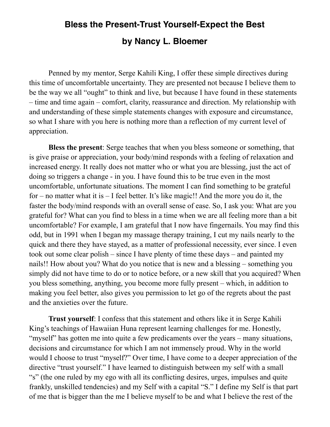## **Bless the Present-Trust Yourself-Expect the Best by Nancy L. Bloemer**

Penned by my mentor, Serge Kahili King, I offer these simple directives during this time of uncomfortable uncertainty. They are presented not because I believe them to be the way we all "ought" to think and live, but because I have found in these statements – time and time again – comfort, clarity, reassurance and direction. My relationship with and understanding of these simple statements changes with exposure and circumstance, so what I share with you here is nothing more than a reflection of my current level of appreciation.

**Bless the present**: Serge teaches that when you bless someone or something, that is give praise or appreciation, your body/mind responds with a feeling of relaxation and increased energy. It really does not matter who or what you are blessing, just the act of doing so triggers a change - in you. I have found this to be true even in the most uncomfortable, unfortunate situations. The moment I can find something to be grateful for – no matter what it is – I feel better. It's like magic!! And the more you do it, the faster the body/mind responds with an overall sense of ease. So, I ask you: What are you grateful for? What can you find to bless in a time when we are all feeling more than a bit uncomfortable? For example, I am grateful that I now have fingernails. You may find this odd, but in 1991 when I began my massage therapy training, I cut my nails nearly to the quick and there they have stayed, as a matter of professional necessity, ever since. I even took out some clear polish – since I have plenty of time these days – and painted my nails!! How about you? What do you notice that is new and a blessing – something you simply did not have time to do or to notice before, or a new skill that you acquired? When you bless something, anything, you become more fully present – which, in addition to making you feel better, also gives you permission to let go of the regrets about the past and the anxieties over the future.

**Trust yourself**: I confess that this statement and others like it in Serge Kahili King's teachings of Hawaiian Huna represent learning challenges for me. Honestly, "myself" has gotten me into quite a few predicaments over the years – many situations, decisions and circumstance for which I am not immensely proud. Why in the world would I choose to trust "myself?" Over time, I have come to a deeper appreciation of the directive "trust yourself." I have learned to distinguish between my self with a small "s" (the one ruled by my ego with all its conflicting desires, urges, impulses and quite frankly, unskilled tendencies) and my Self with a capital "S." I define my Self is that part of me that is bigger than the me I believe myself to be and what I believe the rest of the